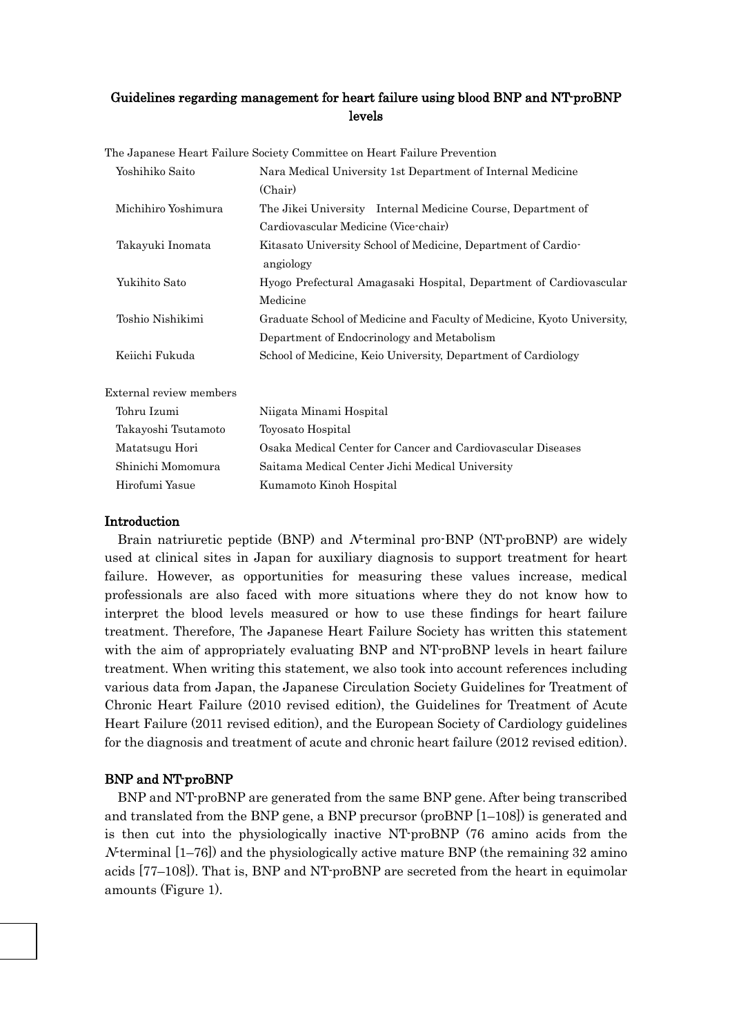# Guidelines regarding management for heart failure using blood BNP and NT-proBNP levels

| Yoshihiko Saito         | Nara Medical University 1st Department of Internal Medicine            |
|-------------------------|------------------------------------------------------------------------|
|                         | (Chair)                                                                |
| Michihiro Yoshimura     | The Jikei University Internal Medicine Course, Department of           |
|                         | Cardiovascular Medicine (Vice-chair)                                   |
| Takayuki Inomata        | Kitasato University School of Medicine, Department of Cardio-          |
|                         | angiology                                                              |
| Yukihito Sato           | Hyogo Prefectural Amagasaki Hospital, Department of Cardiovascular     |
|                         | Medicine                                                               |
| Toshio Nishikimi        | Graduate School of Medicine and Faculty of Medicine, Kyoto University, |
|                         | Department of Endocrinology and Metabolism                             |
| Keiichi Fukuda          | School of Medicine, Keio University, Department of Cardiology          |
| External review members |                                                                        |
| Tohru Izumi             | Niigata Minami Hospital                                                |
| Takayoshi Tsutamoto     | Toyosato Hospital                                                      |
| Matatsugu Hori          | Osaka Medical Center for Cancer and Cardiovascular Diseases            |
| Shinichi Momomura       | Saitama Medical Center Jichi Medical University                        |
| Hirofumi Yasue          | Kumamoto Kinoh Hospital                                                |

#### The Japanese Heart Failure Society Committee on Heart Failure Prevention

#### Introduction

Brain natriuretic peptide (BNP) and *N*-terminal pro-BNP (NT-proBNP) are widely used at clinical sites in Japan for auxiliary diagnosis to support treatment for heart failure. However, as opportunities for measuring these values increase, medical professionals are also faced with more situations where they do not know how to interpret the blood levels measured or how to use these findings for heart failure treatment. Therefore, The Japanese Heart Failure Society has written this statement with the aim of appropriately evaluating BNP and NT-proBNP levels in heart failure treatment. When writing this statement, we also took into account references including various data from Japan, the Japanese Circulation Society Guidelines for Treatment of Chronic Heart Failure (2010 revised edition), the Guidelines for Treatment of Acute Heart Failure (2011 revised edition), and the European Society of Cardiology guidelines for the diagnosis and treatment of acute and chronic heart failure (2012 revised edition).

# BNP and NT-proBNP

BNP and NT-proBNP are generated from the same BNP gene. After being transcribed and translated from the BNP gene, a BNP precursor (proBNP  $[1-108]$ ) is generated and is then cut into the physiologically inactive NT-proBNP (76 amino acids from the  $N$ terminal  $[1–76]$ ) and the physiologically active mature BNP (the remaining 32 amino acids [77–108]). That is, BNP and NT-proBNP are secreted from the heart in equimolar amounts (Figure 1).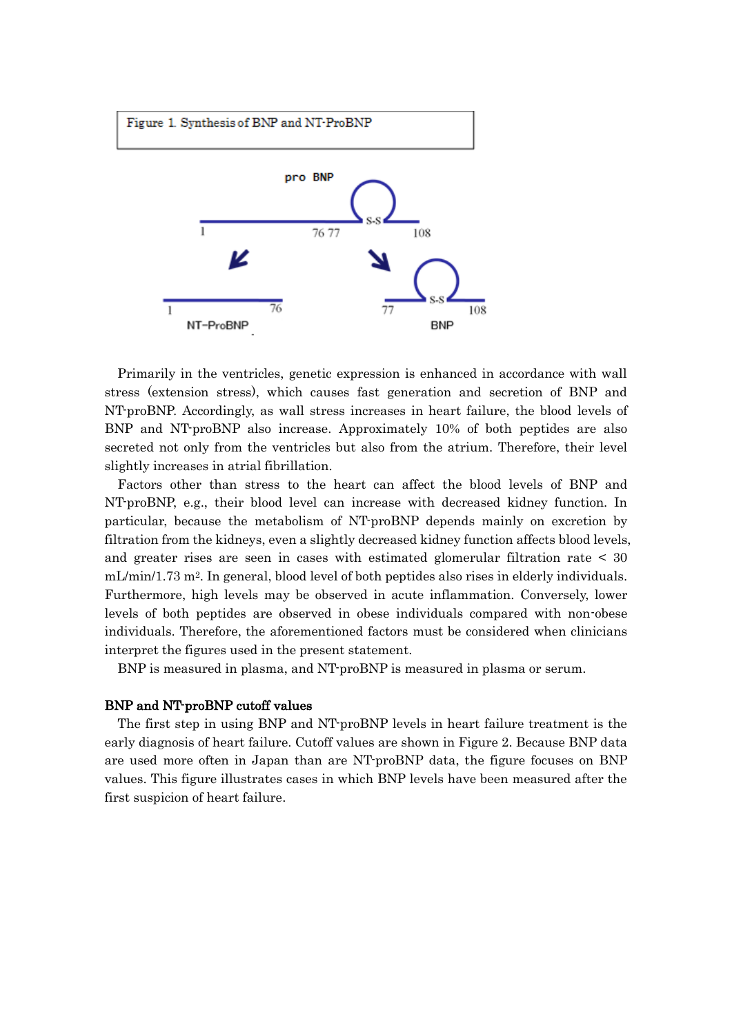

Primarily in the ventricles, genetic expression is enhanced in accordance with wall stress (extension stress), which causes fast generation and secretion of BNP and NT-proBNP. Accordingly, as wall stress increases in heart failure, the blood levels of BNP and NT-proBNP also increase. Approximately 10% of both peptides are also secreted not only from the ventricles but also from the atrium. Therefore, their level slightly increases in atrial fibrillation.

Factors other than stress to the heart can affect the blood levels of BNP and NT-proBNP, e.g., their blood level can increase with decreased kidney function. In particular, because the metabolism of NT-proBNP depends mainly on excretion by filtration from the kidneys, even a slightly decreased kidney function affects blood levels, and greater rises are seen in cases with estimated glomerular filtration rate < 30 mL/min/1.73 m<sup>2</sup>. In general, blood level of both peptides also rises in elderly individuals. Furthermore, high levels may be observed in acute inflammation. Conversely, lower levels of both peptides are observed in obese individuals compared with non-obese individuals. Therefore, the aforementioned factors must be considered when clinicians interpret the figures used in the present statement.

BNP is measured in plasma, and NT-proBNP is measured in plasma or serum.

#### BNP and NT-proBNP cutoff values

The first step in using BNP and NT-proBNP levels in heart failure treatment is the early diagnosis of heart failure. Cutoff values are shown in Figure 2. Because BNP data are used more often in Japan than are NT-proBNP data, the figure focuses on BNP values. This figure illustrates cases in which BNP levels have been measured after the first suspicion of heart failure.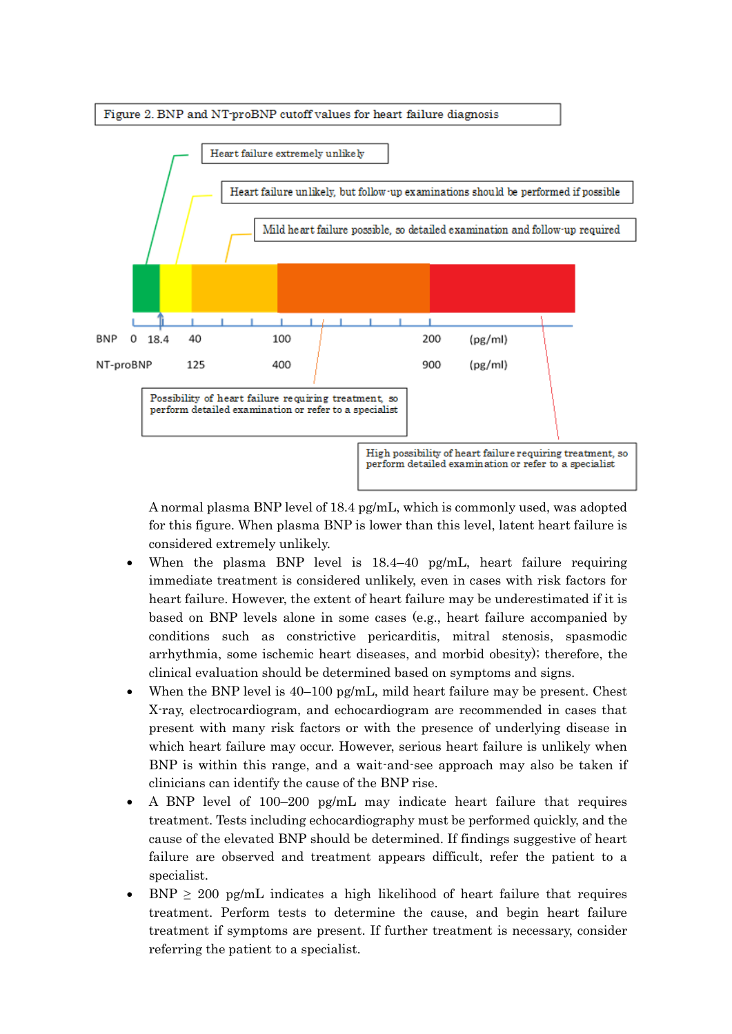



A normal plasma BNP level of 18.4 pg/mL, which is commonly used, was adopted for this figure. When plasma BNP is lower than this level, latent heart failure is considered extremely unlikely.

- When the plasma BNP level is 18.4–40 pg/mL, heart failure requiring immediate treatment is considered unlikely, even in cases with risk factors for heart failure. However, the extent of heart failure may be underestimated if it is based on BNP levels alone in some cases (e.g., heart failure accompanied by conditions such as constrictive pericarditis, mitral stenosis, spasmodic arrhythmia, some ischemic heart diseases, and morbid obesity); therefore, the clinical evaluation should be determined based on symptoms and signs.
- When the BNP level is  $40-100$  pg/mL, mild heart failure may be present. Chest X-ray, electrocardiogram, and echocardiogram are recommended in cases that present with many risk factors or with the presence of underlying disease in which heart failure may occur. However, serious heart failure is unlikely when BNP is within this range, and a wait-and-see approach may also be taken if clinicians can identify the cause of the BNP rise.
- A BNP level of 100–200 pg/mL may indicate heart failure that requires treatment. Tests including echocardiography must be performed quickly, and the cause of the elevated BNP should be determined. If findings suggestive of heart failure are observed and treatment appears difficult, refer the patient to a specialist.
- $BNP \geq 200$  pg/mL indicates a high likelihood of heart failure that requires treatment. Perform tests to determine the cause, and begin heart failure treatment if symptoms are present. If further treatment is necessary, consider referring the patient to a specialist.